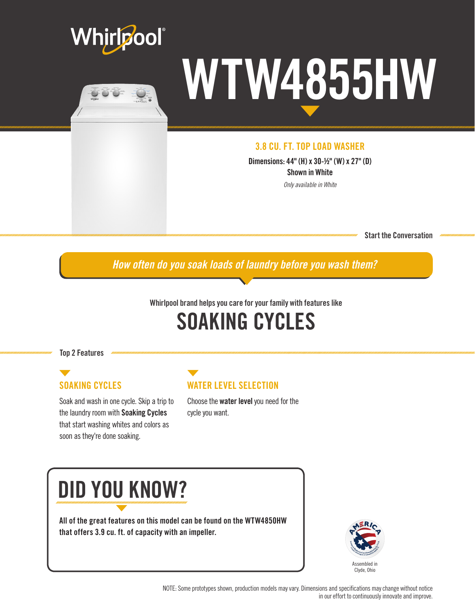



# WTW4855HW

#### 3.8 CU. FT. TOP LOAD WASHER

Dimensions: 44" (H) x 30-½" (W) x 27" (D) Shown in White

*Only available in White*

Start the Conversation

*How often do you soak loads of laundry before you wash them?*

#### Whirlpool brand helps you care for your family with features like

### SOAKING CYCLES

Top 2 Features

#### SOAKING CYCLES

Soak and wash in one cycle. Skip a trip to the laundry room with Soaking Cycles that start washing whites and colors as soon as they're done soaking.

#### WATER LEVEL SELECTION

Choose the water level you need for the cycle you want.

## DID YOU KNOW?

All of the great features on this model can be found on the WTW4850HW that offers 3.9 cu. ft. of capacity with an impeller.